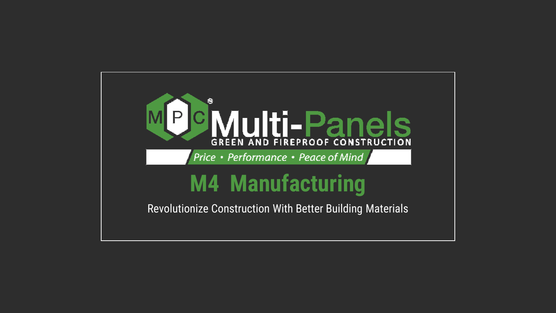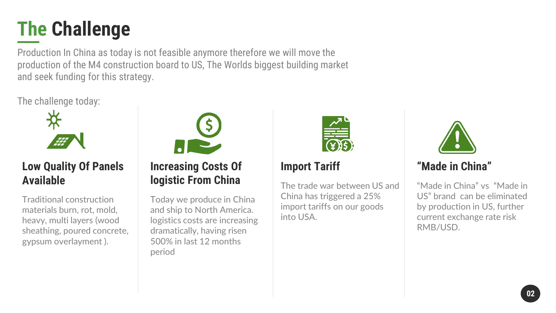### **The Challenge**

Production In China as today is not feasible anymore therefore we will move the production of the M4 construction board to US, The Worlds biggest building market and seek funding for this strategy.

The challenge today:



#### **Low Quality Of Panels Available**

Traditional construction materials burn, rot, mold, heavy, multi layers (wood sheathing, poured concrete, gypsum overlayment ).



**Increasing Costs Of logistic From China**

Today we produce in China and ship to North America. logistics costs are increasing dramatically, having risen 500% in last 12 months period



#### **Import Tariff**

The trade war between US and China has triggered a 25% import tariffs on our goods into USA.



#### **"Made in China"**

"Made in China" vs "Made in US" brand can be eliminated by production in US, further current exchange rate risk RMB/USD.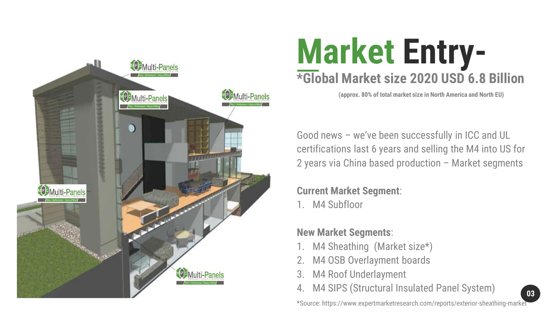

# **\*Global Market size 2020 USD 6.8 Billion Market Entry-**

**(approx. 80% of total market size in North America and North EU)**

Good news – we've been successfully in ICC and UL certifications last 6 years and selling the M4 into US for 2 years via China based production – Market segments

**Current Market Segment**:

1. M4 Subfloor

#### **New Market Segments**:

- M4 Sheathing (Market size\*)
- M4 OSB Overlayment boards
- 3. M4 Roof Underlayment
- 4. M4 SIPS (Structural Insulated Panel System)

\*Source: https://www.expertmarketresearch.com/reports/exterior-sheathing-market

**03**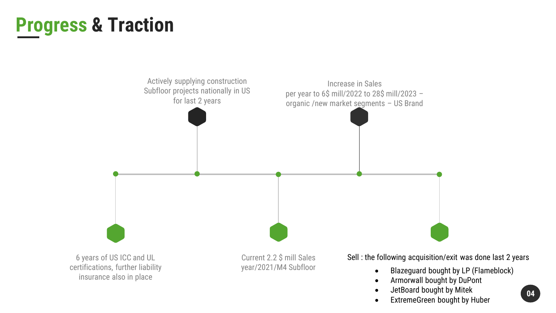### **Progress & Traction**



- Armorwall bought by DuPont
- JetBoard bought by Mitek
- ExtremeGreen bought by Huber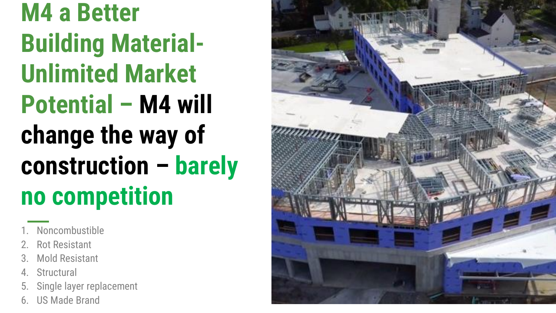**M4 a Better Building Material-Unlimited Market Potential – M4 will change the way of construction – barely no competition**

- **Noncombustible**
- 2. Rot Resistant
- **Mold Resistant**
- **Structural**
- 5. Single layer replacement
- 6. US Made Brand

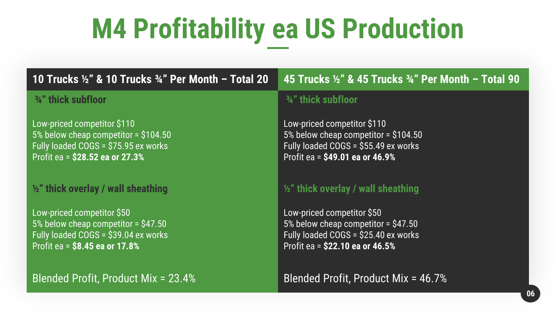# **M4 Profitability ea US Production**

**10 Trucks ½" & 10 Trucks ¾" Per Month – Total 20 45 Trucks ½" & 45 Trucks ¾" Per Month – Total 90**

#### **¾" thick subfloor**

Low-priced competitor \$110 5% below cheap competitor = \$104.50 Fully loaded COGS = \$75.95 ex works Profit ea = **\$28.52 ea or 27.3%**

#### **½" thick overlay / wall sheathing**

Low-priced competitor \$50 5% below cheap competitor = \$47.50 Fully loaded  $COGS = \dot{S}39.04$  ex works Profit ea = **\$8.45 ea or 17.8%**

Blended Profit, Product Mix = 23.4% Blended Profit, Product Mix = 46.7%

#### **¾" thick subfloor**

Low-priced competitor \$110 5% below cheap competitor = \$104.50 Fully loaded COGS = \$55.49 ex works Profit ea = **\$49.01 ea or 46.9%**

#### **½" thick overlay / wall sheathing**

Low-priced competitor \$50 5% below cheap competitor = \$47.50 Fully loaded  $COGS = \dot{S}25.40$  ex works Profit ea = **\$22.10 ea or 46.5%**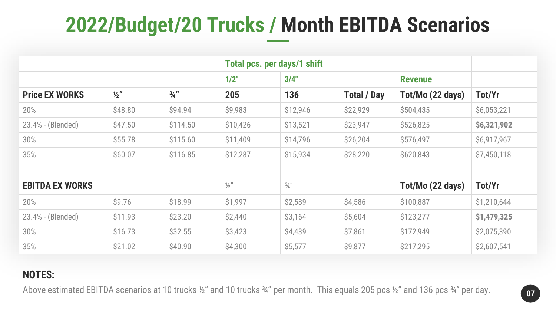### **2022/Budget/20 Trucks / Month EBITDA Scenarios**

|                        |               |                 | Total pcs. per days/1 shift |               |                    |                  |             |
|------------------------|---------------|-----------------|-----------------------------|---------------|--------------------|------------------|-------------|
|                        |               |                 | $1/2$ "                     | 3/4"          |                    | <b>Revenue</b>   |             |
| <b>Price EX WORKS</b>  | $\frac{1}{2}$ | $\frac{3}{4}$ " | 205                         | 136           | <b>Total / Day</b> | Tot/Mo (22 days) | Tot/Yr      |
| 20%                    | \$48.80       | \$94.94         | \$9,983                     | \$12,946      | \$22,929           | \$504,435        | \$6,053,221 |
| 23.4% - (Blended)      | \$47.50       | \$114.50        | \$10,426                    | \$13,521      | \$23,947           | \$526,825        | \$6,321,902 |
| 30%                    | \$55.78       | \$115.60        | \$11,409                    | \$14,796      | \$26,204           | \$576,497        | \$6,917,967 |
| 35%                    | \$60.07       | \$116.85        | \$12,287                    | \$15,934      | \$28,220           | \$620,843        | \$7,450,118 |
|                        |               |                 |                             |               |                    |                  |             |
| <b>EBITDA EX WORKS</b> |               |                 | $\frac{1}{2}$               | $\frac{3}{4}$ |                    | Tot/Mo (22 days) | Tot/Yr      |
| 20%                    | \$9.76        | \$18.99         | \$1,997                     | \$2,589       | \$4,586            | \$100,887        | \$1,210,644 |
| 23.4% - (Blended)      | \$11.93       | \$23.20         | \$2,440                     | \$3,164       | \$5,604            | \$123,277        | \$1,479,325 |
| 30%                    | \$16.73       | \$32.55         | \$3,423                     | \$4,439       | \$7,861            | \$172,949        | \$2,075,390 |
| 35%                    | \$21.02       | \$40.90         | \$4,300                     | \$5,577       | \$9,877            | \$217,295        | \$2,607,541 |

#### **NOTES:**

Above estimated EBITDA scenarios at 10 trucks 1/2" and 10 trucks 3/4" per month. This equals 205 pcs 1/2" and 136 pcs 3/4" per day.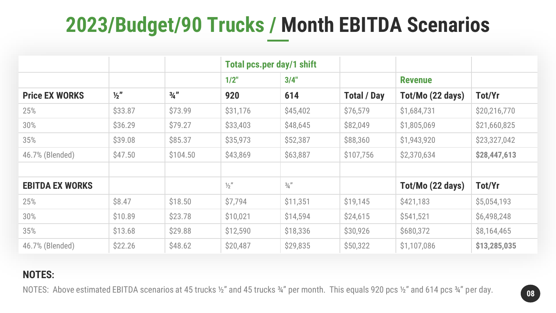### **2023/Budget/90 Trucks / Month EBITDA Scenarios**

|                        |               |                 | <b>Total pcs.per day/1 shift</b> |               |                    |                  |              |
|------------------------|---------------|-----------------|----------------------------------|---------------|--------------------|------------------|--------------|
|                        |               |                 | $1/2$ "                          | 3/4"          |                    | <b>Revenue</b>   |              |
| <b>Price EX WORKS</b>  | $\frac{1}{2}$ | $\frac{3}{4}$ " | 920                              | 614           | <b>Total / Day</b> | Tot/Mo (22 days) | Tot/Yr       |
| 25%                    | \$33.87       | \$73.99         | \$31,176                         | \$45,402      | \$76,579           | \$1,684,731      | \$20,216,770 |
| 30%                    | \$36.29       | \$79.27         | \$33,403                         | \$48,645      | \$82,049           | \$1,805,069      | \$21,660,825 |
| 35%                    | \$39.08       | \$85.37         | \$35,973                         | \$52,387      | \$88,360           | \$1,943,920      | \$23,327,042 |
| 46.7% (Blended)        | \$47.50       | \$104.50        | \$43,869                         | \$63,887      | \$107,756          | \$2,370,634      | \$28,447,613 |
|                        |               |                 |                                  |               |                    |                  |              |
| <b>EBITDA EX WORKS</b> |               |                 | $\frac{1}{2}$                    | $\frac{3}{4}$ |                    | Tot/Mo (22 days) | Tot/Yr       |
| 25%                    | \$8.47        | \$18.50         | \$7,794                          | \$11,351      | \$19,145           | \$421,183        | \$5,054,193  |
| 30%                    | \$10.89       | \$23.78         | \$10,021                         | \$14,594      | \$24,615           | \$541,521        | \$6,498,248  |
| 35%                    | \$13.68       | \$29.88         | \$12,590                         | \$18,336      | \$30,926           | \$680,372        | \$8,164,465  |
| 46.7% (Blended)        | \$22.26       | \$48.62         | \$20,487                         | \$29,835      | \$50,322           | \$1,107,086      | \$13,285,035 |

#### **NOTES:**

NOTES: Above estimated EBITDA scenarios at 45 trucks ½" and 45 trucks ¾" per month. This equals 920 pcs ½" and 614 pcs ¾" per day.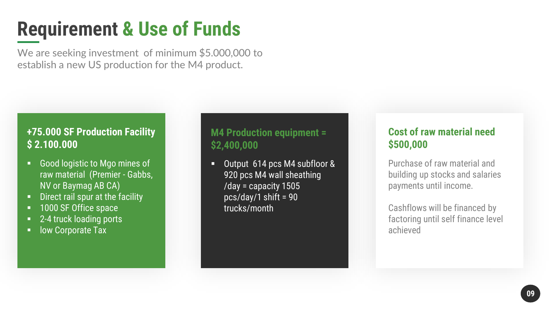### **Requirement & Use of Funds**

We are seeking investment of minimum \$5.000,000 to establish a new US production for the M4 product.

#### **+75.000 SF Production Facility \$ 2.100.000**

- Good logistic to Mgo mines of raw material (Premier - Gabbs, NV or Baymag AB CA)
- Direct rail spur at the facility
- 1000 SF Office space
- 2-4 truck loading ports
- low Corporate Tax

#### **M4 Production equipment = \$2,400,000**

■ Output 614 pcs M4 subfloor & 920 pcs M4 wall sheathing /day = capacity 1505 pcs/day/1 shift = 90 trucks/month

#### **Cost of raw material need \$500,000**

Purchase of raw material and building up stocks and salaries payments until income.

Cashflows will be financed by factoring until self finance level achieved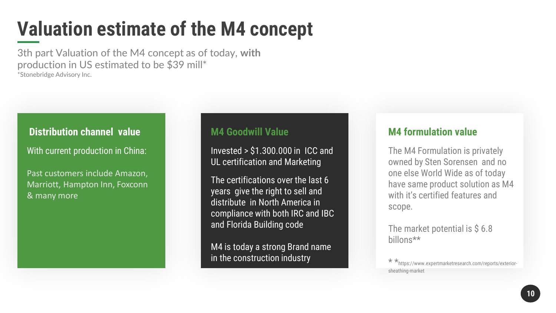### **Valuation estimate of the M4 concept**

3th part Valuation of the M4 concept as of today, **with** production in US estimated to be \$39 mill\* \*Stonebridge Advisory Inc.

#### **Distribution channel value**

With current production in China:

Past customers include Amazon, Marriott, Hampton Inn, Foxconn & many more

#### **M4 Goodwill Value**

Invested > \$1.300.000 in ICC and UL certification and Marketing

The certifications over the last 6 years give the right to sell and distribute in North America in compliance with both IRC and IBC and Florida Building code

M4 is today a strong Brand name in the construction industry

#### **M4 formulation value**

The M4 Formulation is privately owned by Sten Sorensen and no one else World Wide as of today have same product solution as M4 with it's certified features and scope.

The market potential is  $$6.8$ billons\*\*

\* \*https://www.expertmarketresearch.com/reports/exteriorsheathing-market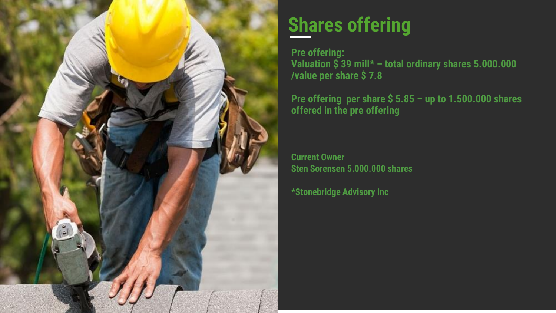

### **Shares offering**

**Pre offering: Valuation \$ 39 mill\* – total ordinary shares 5.000.000 /value per share \$ 7.8**

**Pre offering per share \$ 5.85 – up to 1.500.000 shares offered in the pre offering** 

**Current Owner Sten Sorensen 5.000.000 shares**

**\*Stonebridge Advisory Inc**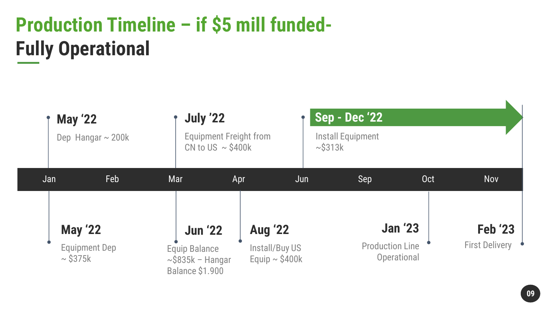### **Production Timeline – if \$5 mill funded-Fully Operational**

| <b>May '22</b> | Dep Hangar $\sim$ 200k | <b>July '22</b><br><b>Equipment Freight from</b><br>CN to US $\sim$ \$400k |                                       | <b>Sep - Dec '22</b><br><b>Install Equipment</b><br>$\sim$ \$313 $k$ |                                       |                       |
|----------------|------------------------|----------------------------------------------------------------------------|---------------------------------------|----------------------------------------------------------------------|---------------------------------------|-----------------------|
| Jan            | Feb                    | Mar                                                                        | Apr                                   | Sep<br>Jun                                                           | <b>Oct</b>                            | <b>Nov</b>            |
| <b>May '22</b> |                        | <b>Jun '22</b>                                                             | <b>Aug '22</b>                        |                                                                      | <b>Jan '23</b>                        | <b>Feb '23</b>        |
| $\sim$ \$375k  | <b>Equipment Dep</b>   | <b>Equip Balance</b><br>$\sim$ \$835k - Hangar<br><b>Balance \$1.900</b>   | Install/Buy US<br>Equip $\sim$ \$400k |                                                                      | <b>Production Line</b><br>Operational | <b>First Delivery</b> |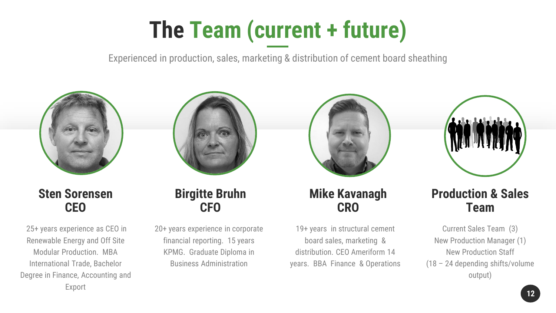# **The Team (current + future)**

Experienced in production, sales, marketing & distribution of cement board sheathing







25+ years experience as CEO in Renewable Energy and Off Site Modular Production. MBA International Trade, Bachelor Degree in Finance, Accounting and Export

#### **Birgitte Bruhn CFO**

20+ years experience in corporate financial reporting. 15 years KPMG. Graduate Diploma in Business Administration

#### **Mike Kavanagh CRO**

19+ years in structural cement board sales, marketing & distribution. CEO Ameriform 14 years. BBA Finance & Operations

### **Production & Sales Team**

Current Sales Team (3) New Production Manager (1) New Production Staff (18 – 24 depending shifts/volume output)